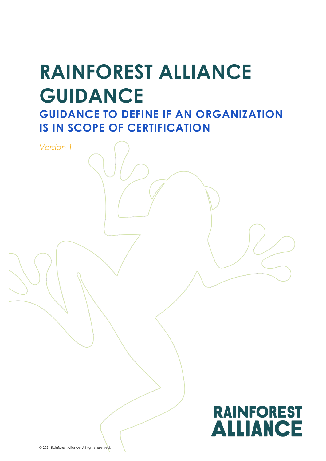# **RAINFOREST ALLIANCE GUIDANCE**

**GUIDANCE TO DEFINE IF AN ORGANIZATION IS IN SCOPE OF CERTIFICATION** 

*Version 1*

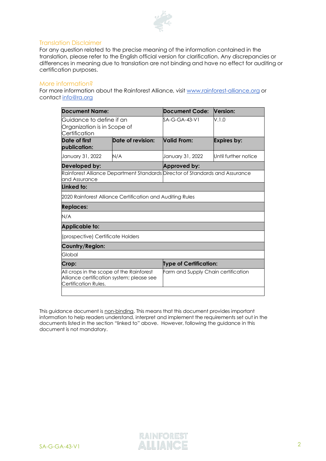

#### Translation Disclaimer

For any question related to the precise meaning of the information contained in the translation, please refer to the English official version for clarification. Any discrepancies or differences in meaning due to translation are not binding and have no effect for auditing or certification purposes.

#### More information?

For more information about the Rainforest Alliance, visit [www.rainforest-alliance.org](http://www.rainforest-alliance.org/) or contact [info@ra.org](mailto:info@ra.org)

| <b>Document Name:</b>                                                                                         |                   | <b>Document Code:</b>               | Version:             |
|---------------------------------------------------------------------------------------------------------------|-------------------|-------------------------------------|----------------------|
| Guidance to define if an<br>Organization is in Scope of<br>Certification                                      |                   | SA-G-GA-43-V1                       | V.1.0                |
| Date of first<br>publication:                                                                                 | Date of revision: | <b>Valid From:</b>                  | Expires by:          |
| January 31, 2022                                                                                              | N/A               | January 31, 2022                    | Until further notice |
| Developed by:                                                                                                 |                   | Approved by:                        |                      |
| Rainforest Alliance Department Standards Director of Standards and Assurance<br>and Assurance                 |                   |                                     |                      |
| Linked to:                                                                                                    |                   |                                     |                      |
| 2020 Rainforest Alliance Certification and Auditing Rules                                                     |                   |                                     |                      |
| <b>Replaces:</b>                                                                                              |                   |                                     |                      |
| N/A                                                                                                           |                   |                                     |                      |
| <b>Applicable to:</b>                                                                                         |                   |                                     |                      |
| (prospective) Certificate Holders                                                                             |                   |                                     |                      |
| Country/Region:                                                                                               |                   |                                     |                      |
| Global                                                                                                        |                   |                                     |                      |
| Crop:                                                                                                         |                   | Type of Certification:              |                      |
| All crops in the scope of the Rainforest<br>Alliance certification system; please see<br>Certification Rules. |                   | Farm and Supply Chain certification |                      |
|                                                                                                               |                   |                                     |                      |

This guidance document is non-binding. This means that this document provides important information to help readers understand, interpret and implement the requirements set out in the documents listed in the section "linked to" above. However, following the guidance in this document is not mandatory.

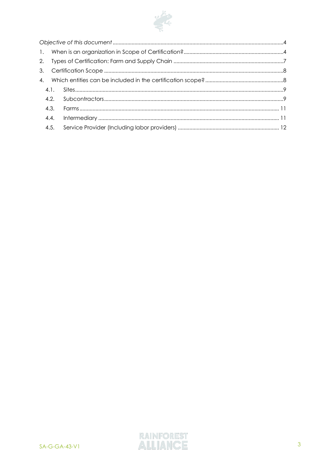

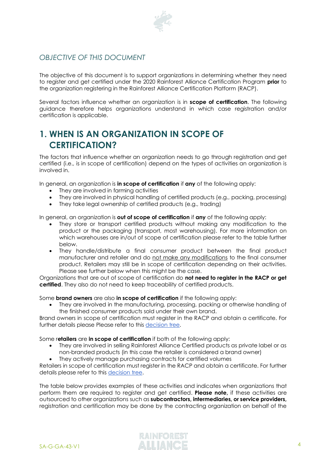

#### <span id="page-3-0"></span>*OBJECTIVE OF THIS DOCUMENT*

The objective of this document is to support organizations in determining whether they need to register and get certified under the 2020 Rainforest Alliance Certification Program **prior** to the organization registering in the Rainforest Alliance Certification Platform (RACP).

Several factors influence whether an organization is in **scope of certification**. The following guidance therefore helps organizations understand in which case registration and/or certification is applicable.

### <span id="page-3-1"></span>**1. WHEN IS AN ORGANIZATION IN SCOPE OF CERTIFICATION?**

The factors that influence whether an organization needs to go through registration and get certified (i.e., is in scope of certification) depend on the types of activities an organization is involved in.

In general, an organization is **in scope of certification** if **any** of the following apply:

- They are involved in farming activities
- They are involved in physical handling of certified products (e.g., packing, processing)
- They take legal ownership of certified products (e.g., trading)

In general, an organization is **out of scope of certification** if **any** of the following apply:

- They store or transport certified products without making any modification to the product or the packaging (transport, most warehousing). For more information on which warehouses are in/out of scope of certification please refer to the table further below.
- They handle/distribute a final consumer product between the final product manufacturer and retailer and do not make any modifications to the final consumer product. Retailers may still be in scope of certification depending on their activities. Please see further below when this might be the case.

Organizations that are out of scope of certification do **not need to register in the RACP or get certified**. They also do not need to keep traceability of certified products.

Some **brand owners** are also **in scope of certification** if the following apply:

They are involved in the manufacturing, processing, packing or otherwise handling of the finished consumer products sold under their own brand.

Brand owners in scope of certification must register in the RACP and obtain a certificate. For further details please Please refer to this [decision tree.](https://www.rainforest-alliance.org/resource-item/brand-owner-decision-tree/)

Some r**etailers** are **in scope of certification** if both of the following apply:

- They are involved in selling Rainforest Alliance Certified products as private label or as non-branded products (in this case the retailer is considered a brand owner)
- They actively manage purchasing contracts for certified volumes

Retailers in scope of certification must register in the RACP and obtain a certificate. For further details please refer to this [decision tree.](https://www.rainforest-alliance.org/business/wp-content/uploads/2021/01/retailer-certification-decision-tree.pdf)

The table below provides examples of these activities and indicates when organizations that perform them are required to register and get certified. **Please note,** if these activities are outsourced to other organizations such as **subcontractors, intermediaries, or service providers,** registration and certification may be done by the contracting organization on behalf of the

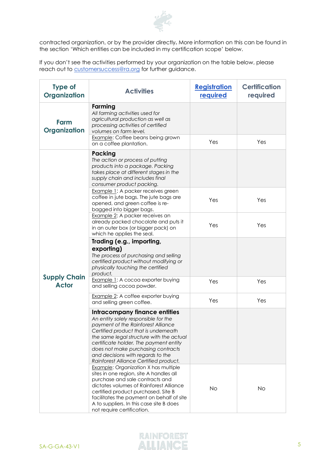

contracted organization, or by the provider directly**.** More information on this can be found in the section 'Which entities can be included in my certification scope' below.

If you don't see the activities performed by your organization on the table below, please reach out to [customersuccess@ra.org](mailto:customersuccess@ra.org) for further guidance.

| <b>Type of</b><br>Organization      | <b>Activities</b>                                                                                                                                                                                                                                                                                                                                              | <b>Registration</b><br>required | <b>Certification</b><br>required |
|-------------------------------------|----------------------------------------------------------------------------------------------------------------------------------------------------------------------------------------------------------------------------------------------------------------------------------------------------------------------------------------------------------------|---------------------------------|----------------------------------|
| Farm<br>Organization                | Farming<br>All farming activities used for<br>agricultural production as well as<br>processing activities of certified<br>volumes on farm level.                                                                                                                                                                                                               |                                 |                                  |
|                                     | Example: Coffee beans being grown<br>on a coffee plantation.                                                                                                                                                                                                                                                                                                   | Yes                             | Yes                              |
| <b>Supply Chain</b><br><b>Actor</b> | Packing<br>The action or process of putting<br>products into a package. Packing<br>takes place at different stages in the<br>supply chain and includes final<br>consumer product packing.                                                                                                                                                                      |                                 |                                  |
|                                     | Example 1: A packer receives green<br>coffee in jute bags. The jute bags are<br>opened, and green coffee is re-<br>bagged into bigger bags.                                                                                                                                                                                                                    | Yes                             | Yes                              |
|                                     | Example 2: A packer receives an<br>already packed chocolate and puts it<br>in an outer box (or bigger pack) on<br>which he applies the seal.                                                                                                                                                                                                                   | Yes                             | Yes                              |
|                                     | Trading (e.g., importing,<br>exporting)<br>The process of purchasing and selling<br>certified product without modifying or<br>physically touching the certified<br>product.                                                                                                                                                                                    |                                 |                                  |
|                                     | Example 1: A cocoa exporter buying<br>and selling cocoa powder.                                                                                                                                                                                                                                                                                                | Yes                             | Yes                              |
|                                     | Example 2: A coffee exporter buying<br>and selling green coffee.                                                                                                                                                                                                                                                                                               | Yes                             | Yes                              |
|                                     | Intracompany finance entities<br>An entity solely responsible for the<br>payment of the Rainforest Alliance<br>Certified product that is underneath<br>the same legal structure with the actual<br>certificate holder. The payment entity<br>does not make purchasing contracts<br>and decisions with regards to the<br>Rainforest Alliance Certified product. |                                 |                                  |
|                                     | Example: Organization X has multiple<br>sites in one region, site A handles all<br>purchase and sale contracts and<br>dictates volumes of Rainforest Alliance<br>certified product purchased. Site B<br>facilitates the payment on behalf of site<br>A to suppliers. In this case site B does<br>not require certification.                                    | No                              | <b>No</b>                        |

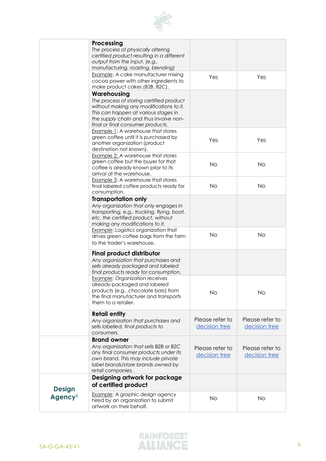

|                     | Processing<br>The process of physically altering<br>certified product resulting in a different<br>output from the input. (e.g.,<br>manufacturing, roasting, blending)                                                     |                                  |                                  |
|---------------------|---------------------------------------------------------------------------------------------------------------------------------------------------------------------------------------------------------------------------|----------------------------------|----------------------------------|
|                     | Example: A cake manufacturer mixing<br>cocoa power with other ingredients to<br>make product cakes (B2B, B2C).                                                                                                            | Yes                              | Yes                              |
|                     | Warehousing<br>The process of storing certified product<br>without making any modifications to it.<br>This can happen at various stages in<br>the supply chain and thus involve non-<br>final or final consumer products. |                                  |                                  |
|                     | Example 1: A warehouse that stores<br>green coffee until it is purchased by<br>another organization (product<br>destination not known).                                                                                   | Yes                              | Yes                              |
|                     | <b>Example 2:</b> A warehouse that stores<br>green coffee but the buyer for that<br>coffee is already known prior to its<br>arrival at the warehouse.                                                                     | <b>No</b>                        | <b>No</b>                        |
|                     | <b>Example 3:</b> A warehouse that stores<br>final labeled coffee products ready for<br>consumption.                                                                                                                      | <b>No</b>                        | No                               |
|                     | <b>Transportation only</b><br>Any organization that only engages in<br>transporting, e.g., trucking, flying, boat,<br>etc. the certified product, without<br>making any modifications to it.                              |                                  |                                  |
|                     | <b>Example:</b> Logistics organization that<br>drives green coffee bags from the farm<br>to the trader's warehouse.                                                                                                       | <b>No</b>                        | <b>No</b>                        |
|                     | Final product distributor<br>Any organization that purchases and<br>sells already packaged and labeled<br>final products ready for consumption.                                                                           |                                  |                                  |
|                     | <b>Example: Organization receives</b><br>already-packaged and labeled<br>products (e.g., chocolate bars) from<br>the final manufacturer and transports<br>them to a retailer.                                             | No                               | No                               |
|                     | <b>Retail entity</b><br>Any organization that purchases and<br>sells labelled, final products to<br>consumers.                                                                                                            | Please refer to<br>decision tree | Please refer to<br>decision tree |
|                     | <b>Brand owner</b><br>Any organization that sells B2B or B2C<br>any final consumer products under its<br>own brand. This may include private<br>label brands/store brands owned by<br>retail companies.                   | Please refer to<br>decision tree | Please refer to<br>decision tree |
| <b>Design</b>       | Designing artwork for package<br>of certified product                                                                                                                                                                     |                                  |                                  |
| Agency <sup>1</sup> | Example: A graphic design agency<br>hired by an organization to submit<br>artwork on their behalf.                                                                                                                        | No                               | No                               |

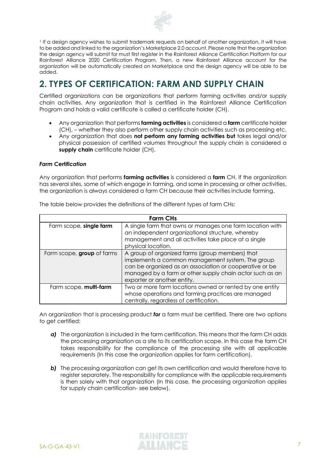

<sup>1</sup> If a design agency wishes to submit trademark requests on behalf of another organization, it will have to be added and linked to the organization's Marketplace 2.0 account. Please note that the organization the design agency will submit for must first register in the Rainforest Alliance Certification Platform for our Rainforest Alliance 2020 Certification Program. Then, a new Rainforest Alliance account for the organization will be automatically created on Marketplace and the design agency will be able to be added.

## <span id="page-6-0"></span>**2. TYPES OF CERTIFICATION: FARM AND SUPPLY CHAIN**

Certified organizations can be organizations that perform farming activities and/or supply chain activities. Any organization that is certified in the Rainforest Alliance Certification Program and holds a valid certificate is called a certificate holder (CH).

- Any organization that performs **farming activities** is considered a **farm** certificate holder (CH), – whether they also perform other supply chain activities such as processing etc.
- Any organization that does **not perform any farming activities but** takes legal and/or physical possession of certified volumes throughout the supply chain is considered a **supply chain** certificate holder (CH).

#### *Farm Certification*

Any organization that performs **farming activities** is considered a **farm** CH. If the organization has several sites, some of which engage in farming, and some in processing or other activities, the organization is always considered a farm CH because their activities include farming.

| <b>Farm CHs</b>            |                                                                                                                                                                                                                                                           |  |
|----------------------------|-----------------------------------------------------------------------------------------------------------------------------------------------------------------------------------------------------------------------------------------------------------|--|
| Farm scope, single farm    | A single farm that owns or manages one farm location with<br>an independent organizational structure, whereby<br>management and all activities take place at a single<br>physical location.                                                               |  |
| Farm scope, group of farms | A group of organized farms (group members) that<br>implements a common management system. The group<br>can be organized as an association or cooperative or be<br>managed by a farm or other supply chain actor such as an<br>exporter or another entity. |  |
| Farm scope, multi-farm     | Two or more farm locations owned or rented by one entity<br>whose operations and farming practices are managed<br>centrally, regardless of certification.                                                                                                 |  |

The table below provides the definitions of the different types of farm CHs:

An organization that is processing product *for* a farm must be certified. There are two options to get certified:

- *a)* The organization is included in the farm certification. This means that the farm CH adds the processing organization as a site to its certification scope. In this case the farm CH takes responsibility for the compliance of the processing site with all applicable requirements (In this case the organization applies for farm certification).
- **b)** The processing organization can get its own certification and would therefore have to register separately. The responsibility for compliance with the applicable requirements is then solely with that organization (In this case, the processing organization applies for supply chain certification- see below).

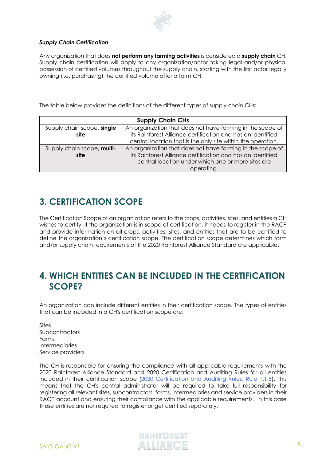

#### *Supply Chain Certification*

Any organization that does **not perform any farming activities** is considered a **supply chain** CH. Supply chain certification will apply to any organization/actor taking legal and/or physical possession of certified volumes throughout the supply chain, starting with the first actor legally owning (i.e. purchasing) the certified volume after a farm CH.

The table below provides the definitions of the different types of supply chain CHs:

| <b>Supply Chain CHs</b>            |                                                                                                                                                                                               |  |
|------------------------------------|-----------------------------------------------------------------------------------------------------------------------------------------------------------------------------------------------|--|
| Supply chain scope, single<br>site | An organization that does not have farming in the scope of<br>its Rainforest Alliance certification and has an identified<br>central location that is the only site within the operation.     |  |
| Supply chain scope, multi-<br>site | An organization that does not have farming in the scope of<br>its Rainforest Alliance certification and has an identified<br>central location under which one or more sites are<br>operating. |  |

## <span id="page-7-0"></span>**3. CERTIFICATION SCOPE**

The Certification Scope of an organization refers to the crops, activities, sites, and entities a CH wishes to certify. If the organization is in scope of certification, it needs to register in the RACP and provide information on all crops, activities, sites, and entities that are to be certified to define the organization's certification scope. The certification scope determines which farm and/or supply chain requirements of the 2020 Rainforest Alliance Standard are applicable.

## <span id="page-7-1"></span>**4. WHICH ENTITIES CAN BE INCLUDED IN THE CERTIFICATION SCOPE?**

An organization can include different entities in their certification scope. The types of entities that can be included in a CH's certification scope are:

The CH is responsible for ensuring the compliance with all applicable requirements with the 2020 Rainforest Alliance Standard and 2020 Certification and Auditing Rules for all entities included in their certification scope [\(2020 Certification and Auditing Rules, Rule 1.1.8\)](https://www.rainforest-alliance.org/resource-item/2020-certification-and-auditing-rules/). This means that the CH's central administrator will be required to take full responsibility for registering all relevant sites, subcontractors, farms, intermediaries and service providers in their RACP account and ensuring their compliance with the applicable requirements. In this case these entities are not required to register or get certified separately.

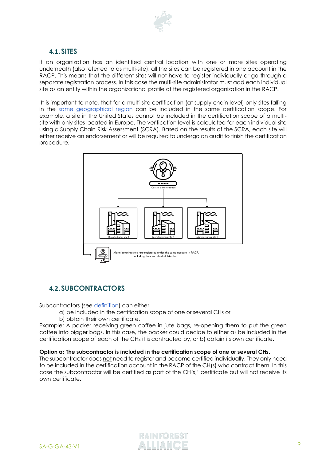

#### <span id="page-8-0"></span>**4.1.SITES**

If an organization has an identified central location with one or more sites operating underneath (also referred to as multi-site), all the sites can be registered in one account in the RACP. This means that the different sites will not have to reaister individually or ao through a separate registration process. In this case the multi-site administrator must add each individual site as an entity within the organizational profile of the registered organization in the RACP.

It is important to note, that for a multi-site certification (at supply chain level) only sites falling in the [same geographical region](https://www.rainforest-alliance.org/business/geographical-scopes-rainforest-alliance-2020-certification-program/) can be included in the same certification scope. For example, a site in the United States cannot be included in the certification scope of a multisite with only sites located in Europe. The verification level is calculated for each individual site using a Supply Chain Risk Assessment (SCRA). Based on the results of the SCRA, each site will either receive an endorsement or will be required to undergo an audit to finish the certification procedure.



#### <span id="page-8-1"></span>**4.2.SUBCONTRACTORS**

Subcontractors (se[e definition\)](https://www.rainforest-alliance.org/resource-item/annex-1-glossary/) can either

- a) be included in the certification scope of one or several CHs or
- b) obtain their own certificate.

Example: A packer receiving green coffee in jute bags, re-opening them to put the green coffee into bigger bags. In this case, the packer could decide to either a) be included in the certification scope of each of the CHs it is contracted by, or b) obtain its own certificate.

#### **Option a: The subcontractor is included in the certification scope of one or several CHs.**

The subcontractor does not need to register and become certified individually. They only need to be included in the certification account in the RACP of the CH(s) who contract them. In this case the subcontractor will be certified as part of the CH(s)' certificate but will not receive its own certificate.

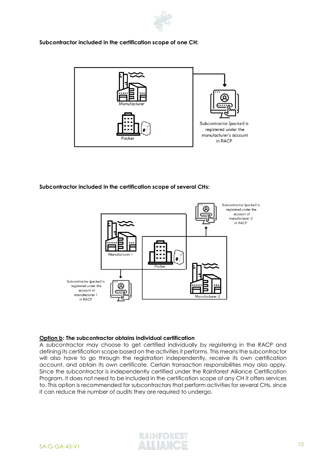

#### **Subcontractor included in the certification scope of one CH:**



#### **Subcontractor included in the certification scope of several CHs:**



#### **Option b: The subcontractor obtains individual certification**

A subcontractor may choose to get certified individually by registering in the RACP and defining its certification scope based on the activities it performs. This means the subcontractor will also have to go through the registration independently, receive its own certification account, and obtain its own certificate. Certain transaction responsibilities may also apply. Since the subcontractor is independently certified under the Rainforest Alliance Certification Program, it does not need to be included in the certification scope of any CH it offers services to. This option is recommended for subcontractors that perform activities for several CHs, since it can reduce the number of audits they are required to undergo.

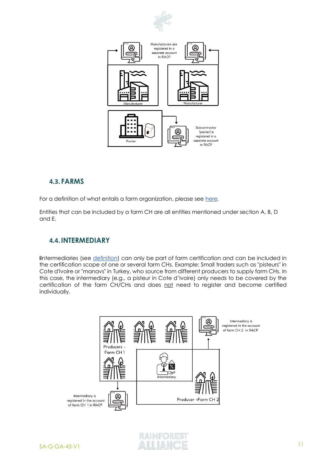



#### <span id="page-10-0"></span>**4.3. FARMS**

For a definition of what entails a farm organization, please see [here.](https://www.rainforest-alliance.org/resource-item/annex-1-glossary/)

Entities that can be included by a farm CH are all entities mentioned under section A, B, D and E.

#### <span id="page-10-1"></span>**4.4.INTERMEDIARY**

**i**Intermediaries (see [definition\)](https://www.rainforest-alliance.org/resource-item/annex-1-glossary/) can only be part of farm certification and can be included in the certification scope of one or several farm CHs. Example: Small traders such as "pisteurs" in Cote d'Ivoire or "manavs" in Turkey, who source from different producers to supply farm CHs. In this case, the intermediary (e.g., a pisteur in Cote d'Ivoire) only needs to be covered by the certification of the farm CH/CHs and does not need to register and become certified individually.